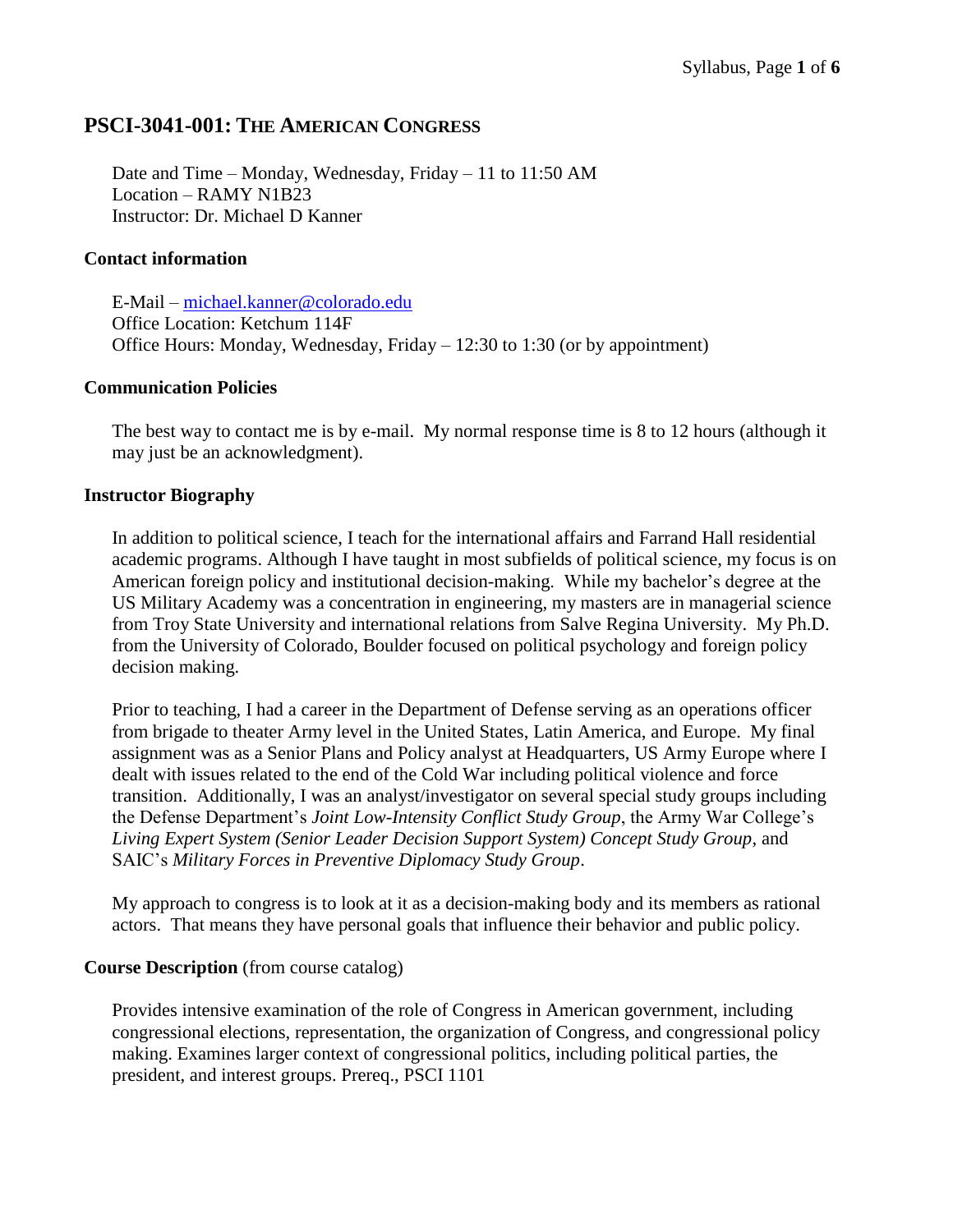### **PSCI-3041-001: THE AMERICAN CONGRESS**

Date and Time – Monday, Wednesday, Friday – 11 to 11:50 AM Location – RAMY N1B23 Instructor: Dr. Michael D Kanner

#### **Contact information**

E-Mail – [michael.kanner@colorado.edu](mailto:michael.kanner@colorado.edu) Office Location: Ketchum 114F Office Hours: Monday, Wednesday, Friday – 12:30 to 1:30 (or by appointment)

#### **Communication Policies**

The best way to contact me is by e-mail. My normal response time is 8 to 12 hours (although it may just be an acknowledgment).

#### **Instructor Biography**

In addition to political science, I teach for the international affairs and Farrand Hall residential academic programs. Although I have taught in most subfields of political science, my focus is on American foreign policy and institutional decision-making. While my bachelor's degree at the US Military Academy was a concentration in engineering, my masters are in managerial science from Troy State University and international relations from Salve Regina University. My Ph.D. from the University of Colorado, Boulder focused on political psychology and foreign policy decision making.

Prior to teaching, I had a career in the Department of Defense serving as an operations officer from brigade to theater Army level in the United States, Latin America, and Europe. My final assignment was as a Senior Plans and Policy analyst at Headquarters, US Army Europe where I dealt with issues related to the end of the Cold War including political violence and force transition. Additionally, I was an analyst/investigator on several special study groups including the Defense Department's *Joint Low-Intensity Conflict Study Group*, the Army War College's *Living Expert System (Senior Leader Decision Support System) Concept Study Group*, and SAIC's *Military Forces in Preventive Diplomacy Study Group*.

My approach to congress is to look at it as a decision-making body and its members as rational actors. That means they have personal goals that influence their behavior and public policy.

#### **Course Description** (from course catalog)

Provides intensive examination of the role of Congress in American government, including congressional elections, representation, the organization of Congress, and congressional policy making. Examines larger context of congressional politics, including political parties, the president, and interest groups. Prereq., PSCI 1101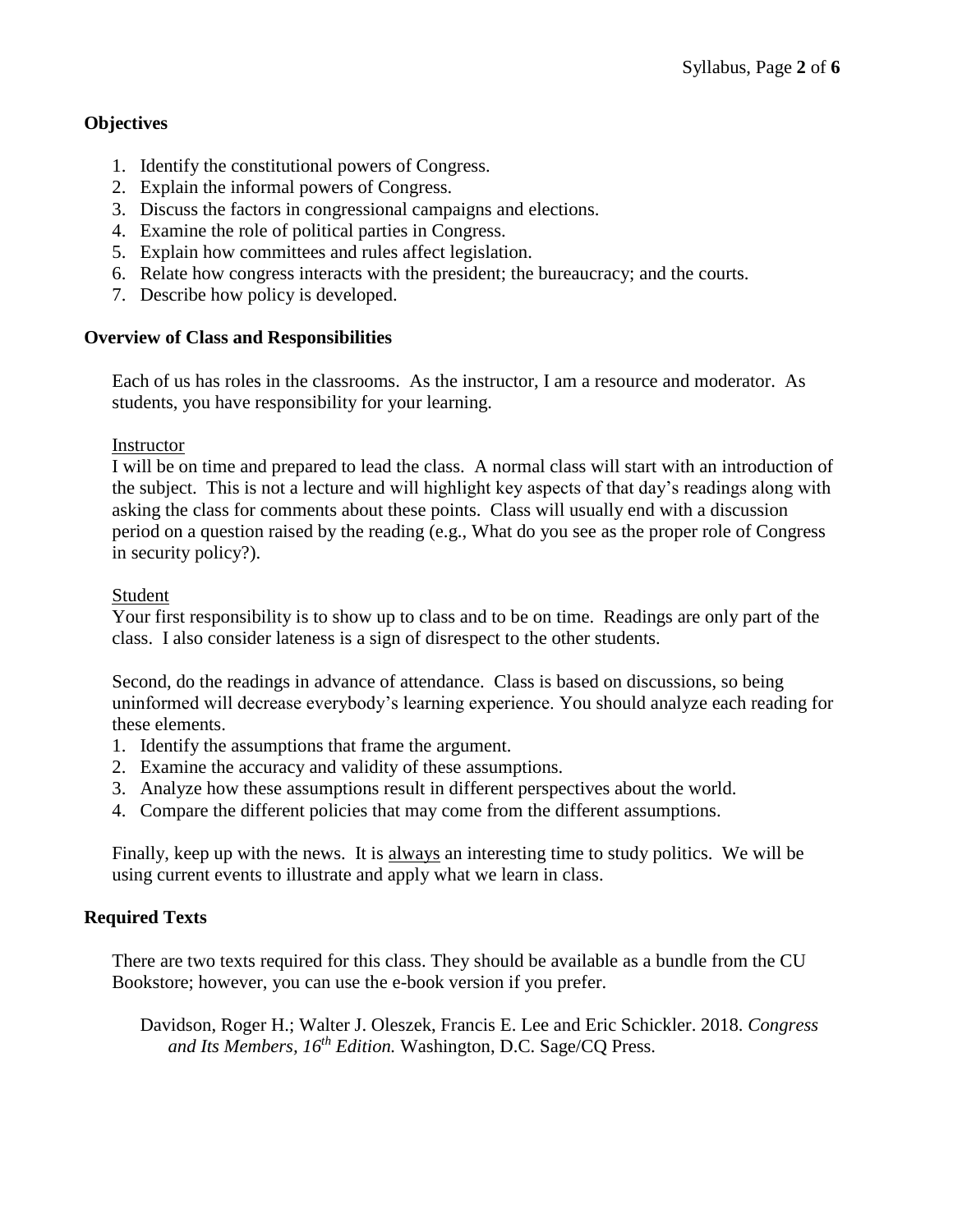### **Objectives**

- 1. Identify the constitutional powers of Congress.
- 2. Explain the informal powers of Congress.
- 3. Discuss the factors in congressional campaigns and elections.
- 4. Examine the role of political parties in Congress.
- 5. Explain how committees and rules affect legislation.
- 6. Relate how congress interacts with the president; the bureaucracy; and the courts.
- 7. Describe how policy is developed.

#### **Overview of Class and Responsibilities**

Each of us has roles in the classrooms. As the instructor, I am a resource and moderator. As students, you have responsibility for your learning.

#### Instructor

I will be on time and prepared to lead the class. A normal class will start with an introduction of the subject. This is not a lecture and will highlight key aspects of that day's readings along with asking the class for comments about these points. Class will usually end with a discussion period on a question raised by the reading (e.g., What do you see as the proper role of Congress in security policy?).

#### Student

Your first responsibility is to show up to class and to be on time. Readings are only part of the class. I also consider lateness is a sign of disrespect to the other students.

Second, do the readings in advance of attendance. Class is based on discussions, so being uninformed will decrease everybody's learning experience. You should analyze each reading for these elements.

- 1. Identify the assumptions that frame the argument.
- 2. Examine the accuracy and validity of these assumptions.
- 3. Analyze how these assumptions result in different perspectives about the world.
- 4. Compare the different policies that may come from the different assumptions.

Finally, keep up with the news. It is always an interesting time to study politics. We will be using current events to illustrate and apply what we learn in class.

### **Required Texts**

There are two texts required for this class. They should be available as a bundle from the CU Bookstore; however, you can use the e-book version if you prefer.

Davidson, Roger H.; Walter J. Oleszek, Francis E. Lee and Eric Schickler. 2018. *Congress and Its Members, 16 th Edition.* Washington, D.C. Sage/CQ Press.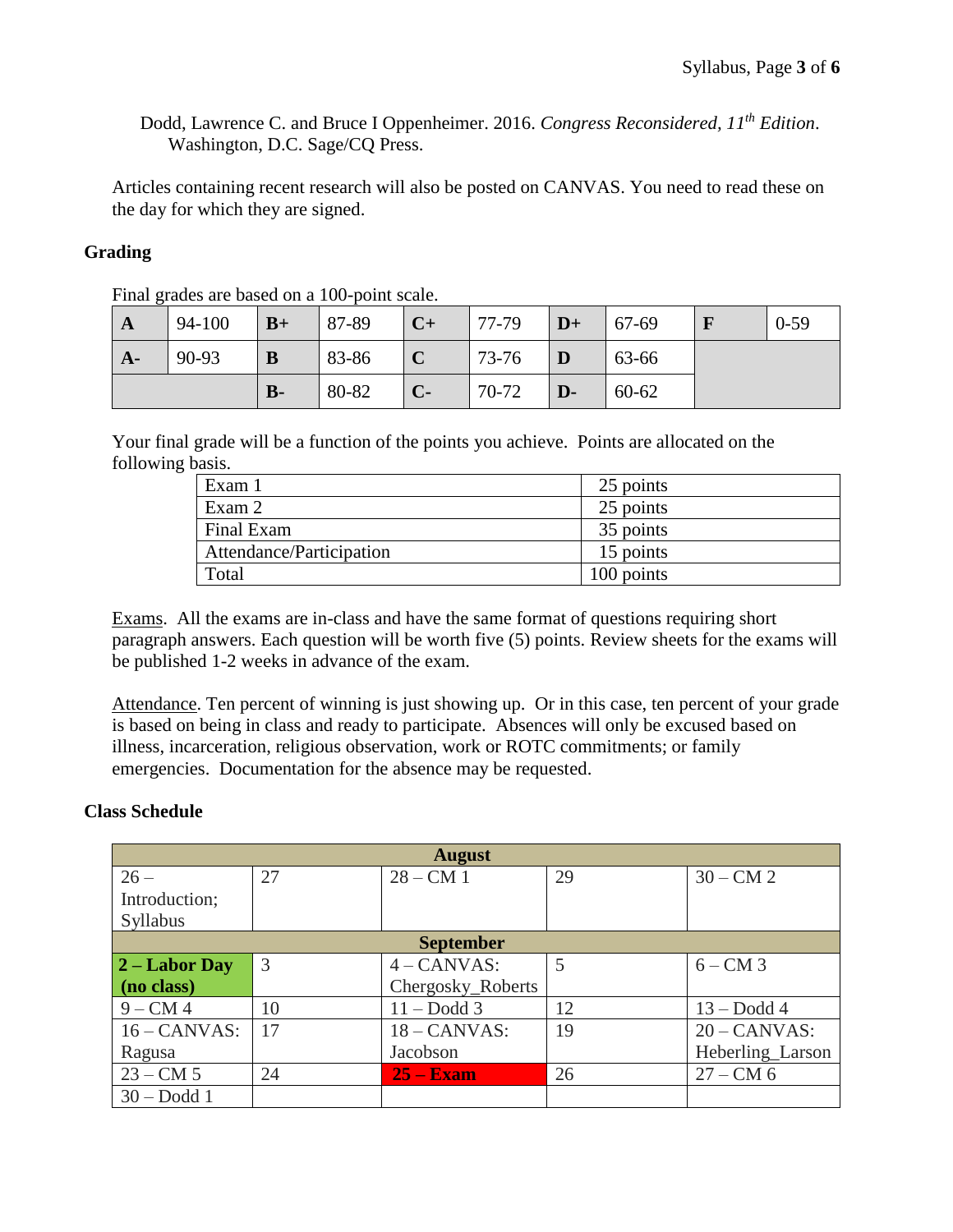Dodd, Lawrence C. and Bruce I Oppenheimer. 2016. *Congress Reconsidered, 11 th Edition*. Washington, D.C. Sage/CQ Press.

Articles containing recent research will also be posted on CANVAS. You need to read these on the day for which they are signed.

### **Grading**

| $\mathbf{A}$ | 94-100 | $B+$  | 87-89 | $C+$ | 77-79 | $\mathbf{D} +$ | $  67-69$ | $0-59$ |
|--------------|--------|-------|-------|------|-------|----------------|-----------|--------|
| $A-$         | 90-93  | B     | 83-86 |      | 73-76 |                | 63-66     |        |
|              |        | $B -$ | 80-82 | $C-$ | 70-72 | $\mathbf{D}$   | 60-62     |        |

Final grades are based on a 100-point scale.

Your final grade will be a function of the points you achieve. Points are allocated on the following basis.

| Exam 1                   | 25 points  |
|--------------------------|------------|
| Exam 2                   | 25 points  |
| Final Exam               | 35 points  |
| Attendance/Participation | 15 points  |
| Total                    | 100 points |

Exams. All the exams are in-class and have the same format of questions requiring short paragraph answers. Each question will be worth five (5) points. Review sheets for the exams will be published 1-2 weeks in advance of the exam.

Attendance. Ten percent of winning is just showing up. Or in this case, ten percent of your grade is based on being in class and ready to participate. Absences will only be excused based on illness, incarceration, religious observation, work or ROTC commitments; or family emergencies. Documentation for the absence may be requested.

### **Class Schedule**

|                 |    | <b>August</b>     |    |                  |
|-----------------|----|-------------------|----|------------------|
| $26 -$          | 27 | $28 - CM$ 1       | 29 | $30 - CM2$       |
| Introduction;   |    |                   |    |                  |
| Syllabus        |    |                   |    |                  |
|                 |    | <b>September</b>  |    |                  |
| $2 -$ Labor Day | 3  | $4 - CANVAS$ :    | 5  | $6 - CM$ 3       |
| (no class)      |    | Chergosky_Roberts |    |                  |
| $9 - CM4$       | 10 | $11 - Dodd 3$     | 12 | $13 - Dodd 4$    |
| $16 - CANVAS$ : | 17 | $18 - CANVAS$ :   | 19 | $20 - CANVAS$ :  |
| Ragusa          |    | Jacobson          |    | Heberling_Larson |
| $23 - CM 5$     | 24 | $25 - Exam$       | 26 | $27 - CM 6$      |
| $30 - Dodd 1$   |    |                   |    |                  |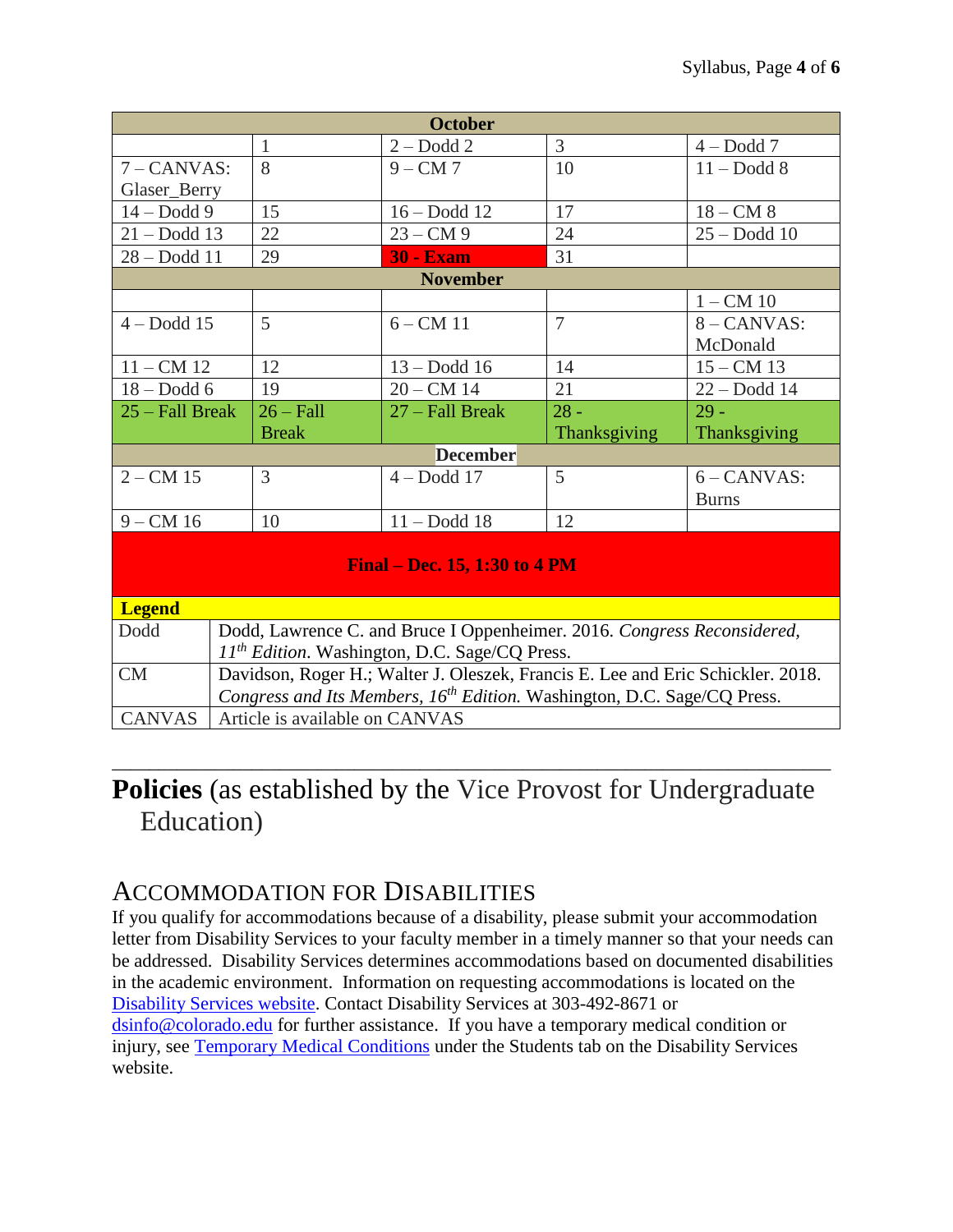| <b>October</b>    |  |                                |                                                                                     |                |                |  |
|-------------------|--|--------------------------------|-------------------------------------------------------------------------------------|----------------|----------------|--|
|                   |  | $\mathbf{1}$                   | $2 - Dodd 2$                                                                        | 3              | $4 - Dodd 7$   |  |
| $7 - CANVAS$ :    |  | 8                              | $9 - CM7$                                                                           | 10             | $11 -$ Dodd 8  |  |
| Glaser_Berry      |  |                                |                                                                                     |                |                |  |
| $14 - Dodd9$      |  | 15                             | $16 - Dodd 12$                                                                      | 17             | $18 - CM$ 8    |  |
| $21 - Dodd$ 13    |  | 22                             | $23 - CM9$                                                                          | 24             | $25 - Dodd$ 10 |  |
| $28 - Dodd$ 11    |  | 29                             | <b>30 - Exam</b>                                                                    | 31             |                |  |
|                   |  |                                | <b>November</b>                                                                     |                |                |  |
|                   |  |                                |                                                                                     |                | $1 - CM$ 10    |  |
| $4 - Dodd 15$     |  | 5                              | $6 - CM$ 11                                                                         | $\overline{7}$ | $8 - CANVAS$ : |  |
|                   |  |                                |                                                                                     |                | McDonald       |  |
| $11 - CM$ 12      |  | 12                             | $13 - Dodd$ 16                                                                      | 14             | $15 - CM$ 13   |  |
| $18 - Dodd 6$     |  | 19                             | $20 - CM$ 14                                                                        | 21             | $22 - Dodd$ 14 |  |
| $25 - Fall Break$ |  | $26 - Fall$                    | 27 – Fall Break                                                                     | $28 -$         | $29 -$         |  |
|                   |  |                                |                                                                                     |                |                |  |
|                   |  | <b>Break</b>                   |                                                                                     | Thanksgiving   | Thanksgiving   |  |
|                   |  |                                | <b>December</b>                                                                     |                |                |  |
| $2 - CM$ 15       |  | 3                              | $4-Dodd 17$                                                                         | 5              | $6 - CANVAS$ : |  |
|                   |  |                                |                                                                                     |                | <b>Burns</b>   |  |
| $9 - CM$ 16       |  | 10                             | $11 - Dodd 18$                                                                      | 12             |                |  |
|                   |  |                                | <b>Final – Dec. 15, 1:30 to 4 PM</b>                                                |                |                |  |
| <b>Legend</b>     |  |                                |                                                                                     |                |                |  |
| Dodd              |  |                                | Dodd, Lawrence C. and Bruce I Oppenheimer. 2016. Congress Reconsidered,             |                |                |  |
|                   |  |                                | 11 <sup>th</sup> Edition. Washington, D.C. Sage/CQ Press.                           |                |                |  |
| CM                |  |                                | Davidson, Roger H.; Walter J. Oleszek, Francis E. Lee and Eric Schickler. 2018.     |                |                |  |
| <b>CANVAS</b>     |  | Article is available on CANVAS | Congress and Its Members, 16 <sup>th</sup> Edition. Washington, D.C. Sage/CQ Press. |                |                |  |

# **Policies** (as established by the Vice Provost for Undergraduate Education)

\_\_\_\_\_\_\_\_\_\_\_\_\_\_\_\_\_\_\_\_\_\_\_\_\_\_\_\_\_\_\_\_\_\_\_\_\_\_\_\_\_\_\_\_\_\_\_\_\_\_\_\_\_\_\_\_\_\_\_\_\_\_\_\_\_\_\_\_\_\_\_\_\_\_\_\_\_

### ACCOMMODATION FOR DISABILITIES

If you qualify for accommodations because of a disability, please submit your accommodation letter from Disability Services to your faculty member in a timely manner so that your needs can be addressed. Disability Services determines accommodations based on documented disabilities in the academic environment. Information on requesting accommodations is located on the [Disability Services website.](http://www.colorado.edu/disabilityservices/students) Contact Disability Services at 303-492-8671 or [dsinfo@colorado.edu](mailto:dsinfo@colorado.edu) for further assistance. If you have a temporary medical condition or injury, see [Temporary Medical Conditions](http://www.colorado.edu/disabilityservices/students/temporary-medical-conditions) under the Students tab on the Disability Services website.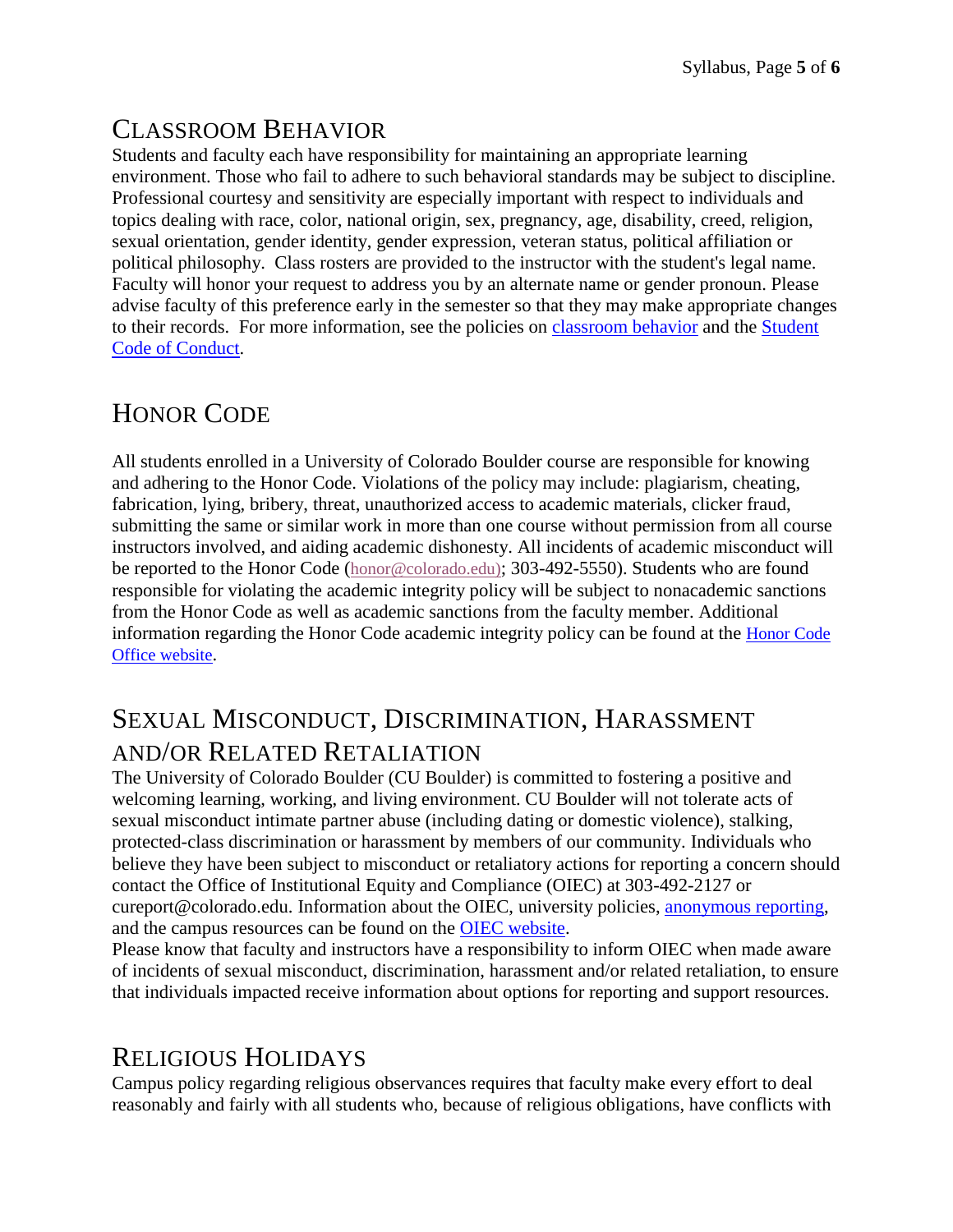## CLASSROOM BEHAVIOR

Students and faculty each have responsibility for maintaining an appropriate learning environment. Those who fail to adhere to such behavioral standards may be subject to discipline. Professional courtesy and sensitivity are especially important with respect to individuals and topics dealing with race, color, national origin, sex, pregnancy, age, disability, creed, religion, sexual orientation, gender identity, gender expression, veteran status, political affiliation or political philosophy. Class rosters are provided to the instructor with the student's legal name. Faculty will honor your request to address you by an alternate name or gender pronoun. Please advise faculty of this preference early in the semester so that they may make appropriate changes to their records. For more information, see the policies on [classroom](http://www.colorado.edu/policies/student-classroom-and-course-related-behavior) behavior and the [Student](http://www.colorado.edu/osccr/)  [Code of Conduct.](http://www.colorado.edu/osccr/)

## HONOR CODE

All students enrolled in a University of Colorado Boulder course are responsible for knowing and adhering to the Honor Code. Violations of the policy may include: plagiarism, cheating, fabrication, lying, bribery, threat, unauthorized access to academic materials, clicker fraud, submitting the same or similar work in more than one course without permission from all course instructors involved, and aiding academic dishonesty. All incidents of academic misconduct will be reported to the Honor Code ([honor@colorado.edu\)](mailto:honor@colorado.edu); 303-492-5550). Students who are found responsible for violating the academic integrity policy will be subject to nonacademic sanctions from the Honor Code as well as academic sanctions from the faculty member. Additional information regarding the Honor Code academic integrity policy can be found at the [Honor Code](https://www.colorado.edu/osccr/honor-code)  [Office website](https://www.colorado.edu/osccr/honor-code).

## SEXUAL MISCONDUCT, DISCRIMINATION, HARASSMENT AND/OR RELATED RETALIATION

The University of Colorado Boulder (CU Boulder) is committed to fostering a positive and welcoming learning, working, and living environment. CU Boulder will not tolerate acts of sexual misconduct intimate partner abuse (including dating or domestic violence), stalking, protected-class discrimination or harassment by members of our community. Individuals who believe they have been subject to misconduct or retaliatory actions for reporting a concern should contact the Office of Institutional Equity and Compliance (OIEC) at 303-492-2127 or cureport@colorado.edu. Information about the OIEC, university policies, [anonymous reporting,](https://cuboulder.qualtrics.com/jfe/form/SV_0PnqVK4kkIJIZnf) and the campus resources can be found on the [OIEC website.](http://www.colorado.edu/institutionalequity/)

Please know that faculty and instructors have a responsibility to inform OIEC when made aware of incidents of sexual misconduct, discrimination, harassment and/or related retaliation, to ensure that individuals impacted receive information about options for reporting and support resources.

## RELIGIOUS HOLIDAYS

Campus policy regarding religious observances requires that faculty make every effort to deal reasonably and fairly with all students who, because of religious obligations, have conflicts with